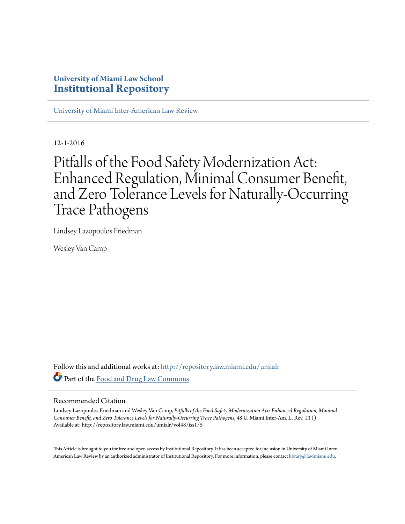### **University of Miami Law School [Institutional Repository](http://repository.law.miami.edu?utm_source=repository.law.miami.edu%2Fumialr%2Fvol48%2Fiss1%2F5&utm_medium=PDF&utm_campaign=PDFCoverPages)**

[University of Miami Inter-American Law Review](http://repository.law.miami.edu/umialr?utm_source=repository.law.miami.edu%2Fumialr%2Fvol48%2Fiss1%2F5&utm_medium=PDF&utm_campaign=PDFCoverPages)

12-1-2016

# Pitfalls of the Food Safety Modernization Act: Enhanced Regulation, Minimal Consumer Benefit, and Zero Tolerance Levels for Naturally-Occurring Trace Pathogens

Lindsey Lazopoulos Friedman

Wesley Van Camp

Follow this and additional works at: [http://repository.law.miami.edu/umialr](http://repository.law.miami.edu/umialr?utm_source=repository.law.miami.edu%2Fumialr%2Fvol48%2Fiss1%2F5&utm_medium=PDF&utm_campaign=PDFCoverPages) Part of the [Food and Drug Law Commons](http://network.bepress.com/hgg/discipline/844?utm_source=repository.law.miami.edu%2Fumialr%2Fvol48%2Fiss1%2F5&utm_medium=PDF&utm_campaign=PDFCoverPages)

#### Recommended Citation

Lindsey Lazopoulos Friedman and Wesley Van Camp, *Pitfalls of the Food Safety Modernization Act: Enhanced Regulation, Minimal Consumer Benefit, and Zero Tolerance Levels for Naturally-Occurring Trace Pathogens*, 48 U. Miami Inter-Am. L. Rev. 13 () Available at: http://repository.law.miami.edu/umialr/vol48/iss1/5

This Article is brought to you for free and open access by Institutional Repository. It has been accepted for inclusion in University of Miami Inter-American Law Review by an authorized administrator of Institutional Repository. For more information, please contact [library@law.miami.edu](mailto:library@law.miami.edu).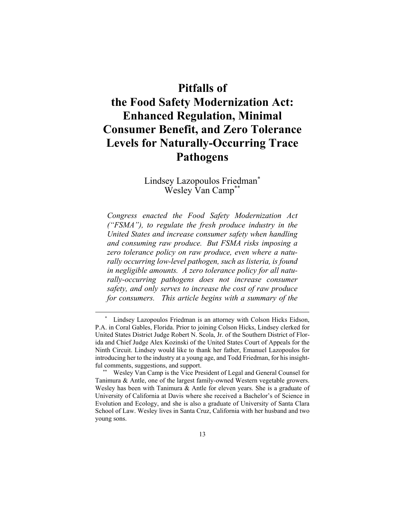## **Pitfalls of**

## **the Food Safety Modernization Act: Enhanced Regulation, Minimal Consumer Benefit, and Zero Tolerance Levels for Naturally-Occurring Trace Pathogens**

Lindsey Lazopoulos Friedman\* Wesley Van Camp\*\*

*Congress enacted the Food Safety Modernization Act ("FSMA"), to regulate the fresh produce industry in the United States and increase consumer safety when handling and consuming raw produce. But FSMA risks imposing a zero tolerance policy on raw produce, even where a naturally occurring low-level pathogen, such as listeria, is found in negligible amounts. A zero tolerance policy for all naturally-occurring pathogens does not increase consumer safety, and only serves to increase the cost of raw produce for consumers. This article begins with a summary of the* 

Lindsey Lazopoulos Friedman is an attorney with Colson Hicks Eidson, P.A. in Coral Gables, Florida. Prior to joining Colson Hicks, Lindsey clerked for United States District Judge Robert N. Scola, Jr. of the Southern District of Florida and Chief Judge Alex Kozinski of the United States Court of Appeals for the Ninth Circuit. Lindsey would like to thank her father, Emanuel Lazopoulos for introducing her to the industry at a young age, and Todd Friedman, for his insightful comments, suggestions, and support.

 <sup>\*\*</sup> Wesley Van Camp is the Vice President of Legal and General Counsel for Tanimura & Antle, one of the largest family-owned Western vegetable growers. Wesley has been with Tanimura  $&$  Antle for eleven years. She is a graduate of University of California at Davis where she received a Bachelor's of Science in Evolution and Ecology, and she is also a graduate of University of Santa Clara School of Law. Wesley lives in Santa Cruz, California with her husband and two young sons.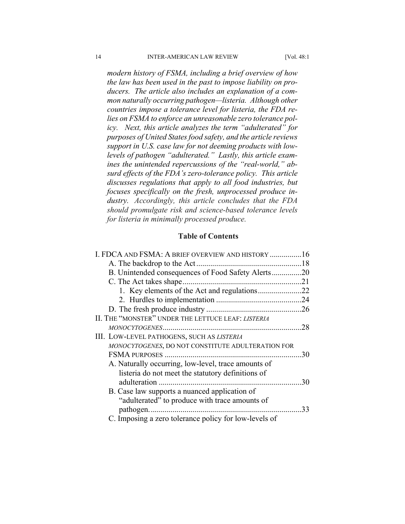*modern history of FSMA, including a brief overview of how the law has been used in the past to impose liability on producers. The article also includes an explanation of a common naturally occurring pathogen—listeria. Although other countries impose a tolerance level for listeria, the FDA relies on FSMA to enforce an unreasonable zero tolerance policy. Next, this article analyzes the term "adulterated" for purposes of United States food safety, and the article reviews support in U.S. case law for not deeming products with lowlevels of pathogen "adulterated." Lastly, this article examines the unintended repercussions of the "real-world," absurd effects of the FDA's zero-tolerance policy. This article discusses regulations that apply to all food industries, but focuses specifically on the fresh, unprocessed produce industry. Accordingly, this article concludes that the FDA should promulgate risk and science-based tolerance levels for listeria in minimally processed produce.* 

#### **Table of Contents**

| I. FDCA AND FSMA: A BRIEF OVERVIEW AND HISTORY 16     |     |
|-------------------------------------------------------|-----|
|                                                       |     |
| B. Unintended consequences of Food Safety Alerts20    |     |
|                                                       |     |
|                                                       |     |
|                                                       |     |
|                                                       |     |
| II. THE "MONSTER" UNDER THE LETTUCE LEAF: LISTERIA    |     |
|                                                       | .28 |
| III. LOW-LEVEL PATHOGENS, SUCH AS LISTERIA            |     |
| MONOCYTOGENES, DO NOT CONSTITUTE ADULTERATION FOR     |     |
|                                                       | 30  |
| A. Naturally occurring, low-level, trace amounts of   |     |
| listeria do not meet the statutory definitions of     |     |
|                                                       | .30 |
| B. Case law supports a nuanced application of         |     |
| "adulterated" to produce with trace amounts of        |     |
| pathogen                                              | 33  |
| C. Imposing a zero tolerance policy for low-levels of |     |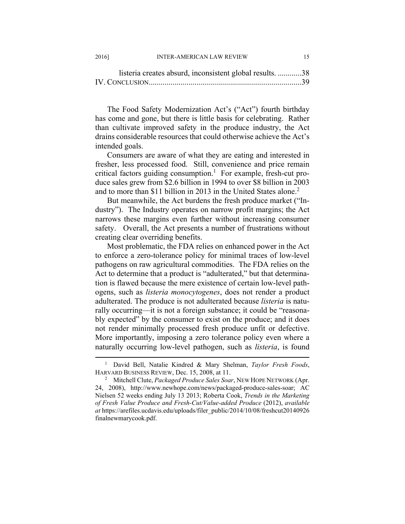| listeria creates absurd, inconsistent global results. 38 |  |
|----------------------------------------------------------|--|
|                                                          |  |

The Food Safety Modernization Act's ("Act") fourth birthday has come and gone, but there is little basis for celebrating. Rather than cultivate improved safety in the produce industry, the Act drains considerable resources that could otherwise achieve the Act's intended goals.

Consumers are aware of what they are eating and interested in fresher, less processed food. Still, convenience and price remain critical factors guiding consumption.<sup>1</sup> For example, fresh-cut produce sales grew from \$2.6 billion in 1994 to over \$8 billion in 2003 and to more than \$11 billion in 2013 in the United States alone.<sup>2</sup>

But meanwhile, the Act burdens the fresh produce market ("Industry"). The Industry operates on narrow profit margins; the Act narrows these margins even further without increasing consumer safety. Overall, the Act presents a number of frustrations without creating clear overriding benefits.

Most problematic, the FDA relies on enhanced power in the Act to enforce a zero-tolerance policy for minimal traces of low-level pathogens on raw agricultural commodities. The FDA relies on the Act to determine that a product is "adulterated," but that determination is flawed because the mere existence of certain low-level pathogens, such as *listeria monocytogenes*, does not render a product adulterated. The produce is not adulterated because *listeria* is naturally occurring—it is not a foreign substance; it could be "reasonably expected" by the consumer to exist on the produce; and it does not render minimally processed fresh produce unfit or defective. More importantly, imposing a zero tolerance policy even where a naturally occurring low-level pathogen, such as *listeria*, is found

 $\frac{1}{1}$  David Bell, Natalie Kindred & Mary Shelman, *Taylor Fresh Foods*, HARVARD BUSINESS REVIEW, Dec. 15, 2008, at 11. 2

Mitchell Clute, *Packaged Produce Sales Soar*, NEW HOPE NETWORK (Apr. 24, 2008), http://www.newhope.com/news/packaged-produce-sales-soar; AC Nielsen 52 weeks ending July 13 2013; Roberta Cook, *Trends in the Marketing of Fresh Value Produce and Fresh-Cut/Value-added Produce* (2012), *available at* https://arefiles.ucdavis.edu/uploads/filer\_public/2014/10/08/freshcut20140926 finalnewmarycook.pdf.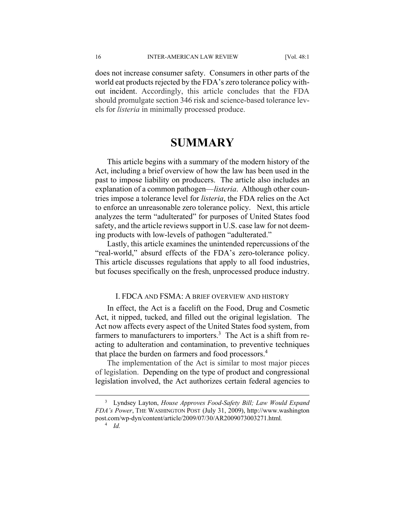does not increase consumer safety. Consumers in other parts of the world eat products rejected by the FDA's zero tolerance policy without incident. Accordingly, this article concludes that the FDA should promulgate section 346 risk and science-based tolerance levels for *listeria* in minimally processed produce.

## **SUMMARY**

This article begins with a summary of the modern history of the Act, including a brief overview of how the law has been used in the past to impose liability on producers. The article also includes an explanation of a common pathogen—*listeria*. Although other countries impose a tolerance level for *listeria*, the FDA relies on the Act to enforce an unreasonable zero tolerance policy. Next, this article analyzes the term "adulterated" for purposes of United States food safety, and the article reviews support in U.S. case law for not deeming products with low-levels of pathogen "adulterated."

Lastly, this article examines the unintended repercussions of the "real-world," absurd effects of the FDA's zero-tolerance policy. This article discusses regulations that apply to all food industries, but focuses specifically on the fresh, unprocessed produce industry.

#### I. FDCA AND FSMA: A BRIEF OVERVIEW AND HISTORY

In effect, the Act is a facelift on the Food, Drug and Cosmetic Act, it nipped, tucked, and filled out the original legislation. The Act now affects every aspect of the United States food system, from farmers to manufacturers to importers.<sup>3</sup> The Act is a shift from reacting to adulteration and contamination, to preventive techniques that place the burden on farmers and food processors.<sup>4</sup>

The implementation of the Act is similar to most major pieces of legislation. Depending on the type of product and congressional legislation involved, the Act authorizes certain federal agencies to

4  *Id.*

 $\overline{\phantom{0}}$  Lyndsey Layton, *House Approves Food-Safety Bill; Law Would Expand FDA's Power*, THE WASHINGTON POST (July 31, 2009), http://www.washington post.com/wp-dyn/content/article/2009/07/30/AR2009073003271.html*.*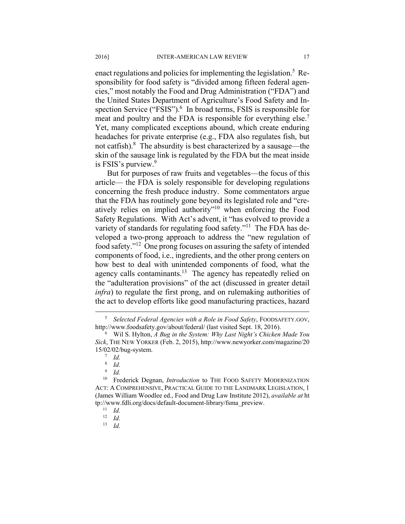enact regulations and policies for implementing the legislation.<sup>5</sup> Responsibility for food safety is "divided among fifteen federal agencies," most notably the Food and Drug Administration ("FDA") and the United States Department of Agriculture's Food Safety and Inspection Service ("FSIS").<sup>6</sup> In broad terms, FSIS is responsible for meat and poultry and the FDA is responsible for everything else.<sup>7</sup> Yet, many complicated exceptions abound, which create enduring headaches for private enterprise (e.g., FDA also regulates fish, but not catfish).<sup>8</sup> The absurdity is best characterized by a sausage—the skin of the sausage link is regulated by the FDA but the meat inside is FSIS's purview.<sup>9</sup>

But for purposes of raw fruits and vegetables—the focus of this article— the FDA is solely responsible for developing regulations concerning the fresh produce industry. Some commentators argue that the FDA has routinely gone beyond its legislated role and "creatively relies on implied authority"10 when enforcing the Food Safety Regulations. With Act's advent, it "has evolved to provide a variety of standards for regulating food safety."<sup>11</sup> The FDA has developed a two-prong approach to address the "new regulation of food safety."12 One prong focuses on assuring the safety of intended components of food, i.e., ingredients, and the other prong centers on how best to deal with unintended components of food, what the agency calls contaminants.<sup>13</sup> The agency has repeatedly relied on the "adulteration provisions" of the act (discussed in greater detail *infra*) to regulate the first prong, and on rulemaking authorities of the act to develop efforts like good manufacturing practices, hazard

13 *Id.* 

 $\frac{1}{5}$  *Selected Federal Agencies with a Role in Food Safety*, FOODSAFETY.GOV, http://www.foodsafety.gov/about/federal/ (last visited Sept. 18, 2016).

Wil S. Hylton, *A Bug in the System: Why Last Night's Chicken Made You Sick*, THE NEW YORKER (Feb. 2, 2015), http://www.newyorker.com/magazine/20 15/02/02/bug-system. 7

 $^7$  *Id.* 

<sup>8</sup>  *Id.*

<sup>9</sup>  *Id.*

<sup>&</sup>lt;sup>10</sup> Frederick Degnan, *Introduction* to THE FOOD SAFETY MODERNIZATION ACT: A COMPREHENSIVE, PRACTICAL GUIDE TO THE LANDMARK LEGISLATION, 1 (James William Woodlee ed., Food and Drug Law Institute 2012), *available at* ht tp://www.fdli.org/docs/default-document-library/fsma\_preview. 11 *Id.*

<sup>12</sup> *Id.*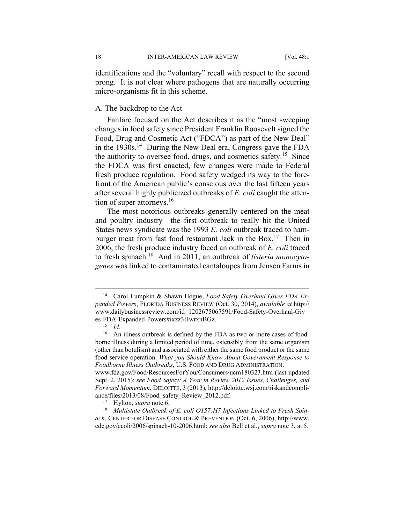identifications and the "voluntary" recall with respect to the second prong. It is not clear where pathogens that are naturally occurring micro-organisms fit in this scheme.

#### A. The backdrop to the Act

Fanfare focused on the Act describes it as the "most sweeping changes in food safety since President Franklin Roosevelt signed the Food, Drug and Cosmetic Act ("FDCA") as part of the New Deal" in the 1930s.<sup>14</sup> During the New Deal era, Congress gave the FDA the authority to oversee food, drugs, and cosmetics safety.<sup>15</sup> Since the FDCA was first enacted, few changes were made to Federal fresh produce regulation. Food safety wedged its way to the forefront of the American public's conscious over the last fifteen years after several highly publicized outbreaks of *E. coli* caught the attention of super attorneys.<sup>16</sup>

The most notorious outbreaks generally centered on the meat and poultry industry—the first outbreak to really hit the United States news syndicate was the 1993 *E. coli* outbreak traced to hamburger meat from fast food restaurant Jack in the Box.<sup>17</sup> Then in 2006, the fresh produce industry faced an outbreak of *E. coli* traced to fresh spinach.18 And in 2011, an outbreak of *listeria monocytogenes* was linked to contaminated cantaloupes from Jensen Farms in

 <sup>14</sup> Carol Lumpkin & Shawn Hogue, *Food Safety Overhaul Gives FDA Expanded Powers*, FLORIDA BUSINESS REVIEW (Oct. 30, 2014), *available at* http:// www.dailybusinessreview.com/id=1202675067591/Food-Safety-Overhaul-Giv es-FDA-Expanded-Powers#ixzz3HwrxnBGz. 15 *Id.*

<sup>&</sup>lt;sup>16</sup> An illness outbreak is defined by the FDA as two or more cases of foodborne illness during a limited period of time, ostensibly from the same organism (other than botulism) and associated with either the same food product or the same food service operation. *What you Should Know About Government Response to Foodborne Illness Outbreaks*, U.S. FOOD AND DRUG ADMINISTRATION.

www.fda.gov/Food/ResourcesForYou/Consumers/ucm180323.htm (last updated Sept. 2, 2015); *see Food Safety: A Year in Review 2012 Issues, Challenges, and Forward Momentum*, DELOITTE, 3 (2013), http://deloitte.wsj.com/riskandcompliance/files/2013/08/Food\_safety\_Review\_2012.pdf.<br><sup>17</sup> Hylton, *supra* note 6.<br><sup>18</sup> *Multistate Outbreak of E. coli O157:H7 Infections Linked to Fresh Spin-*

*ach*, CENTER FOR DISEASE CONTROL & PREVENTION (Oct. 6, 2006), http://www. cdc.gov/ecoli/2006/spinach-10-2006.html; *see also* Bell et al., *supra* note 3, at 5.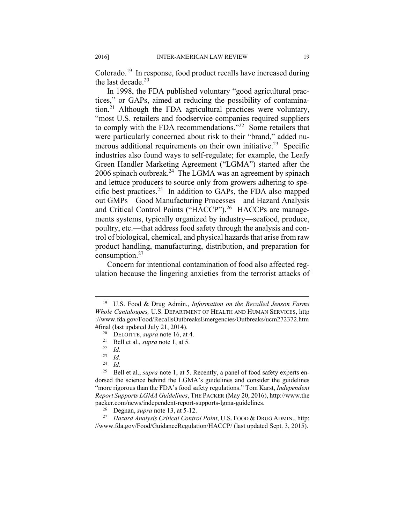Colorado.19 In response, food product recalls have increased during the last decade.<sup>20</sup>

In 1998, the FDA published voluntary "good agricultural practices," or GAPs, aimed at reducing the possibility of contamination.21 Although the FDA agricultural practices were voluntary, "most U.S. retailers and foodservice companies required suppliers to comply with the FDA recommendations."<sup>22</sup> Some retailers that were particularly concerned about risk to their "brand," added numerous additional requirements on their own initiative.<sup>23</sup> Specific industries also found ways to self-regulate; for example, the Leafy Green Handler Marketing Agreement ("LGMA") started after the 2006 spinach outbreak.24 The LGMA was an agreement by spinach and lettuce producers to source only from growers adhering to specific best practices.<sup>25</sup> In addition to GAPs, the FDA also mapped out GMPs—Good Manufacturing Processes—and Hazard Analysis and Critical Control Points ("HACCP").<sup>26</sup> HACCPs are managements systems, typically organized by industry—seafood, produce, poultry, etc.—that address food safety through the analysis and control of biological, chemical, and physical hazards that arise from raw product handling, manufacturing, distribution, and preparation for consumption.<sup>27</sup>

Concern for intentional contamination of food also affected regulation because the lingering anxieties from the terrorist attacks of

//www.fda.gov/Food/GuidanceRegulation/HACCP/ (last updated Sept. 3, 2015).

 <sup>19</sup> U.S. Food & Drug Admin., *Information on the Recalled Jenson Farms Whole Cantaloupes,* U.S. DEPARTMENT OF HEALTH AND HUMAN SERVICES, http ://www.fda.gov/Food/RecallsOutbreaksEmergencies/Outbreaks/ucm272372.htm #final (last updated July 21, 2014). 20 DELOITTE, *supra* note 16, at 4.

<sup>21</sup> Bell et al., *supra* note 1, at 5. 22 *Id.* 

 $\frac{23}{24}$  *Id.* 

<sup>24</sup> *Id.* 

<sup>25</sup> Bell et al., *supra* note 1, at 5. Recently, a panel of food safety experts endorsed the science behind the LGMA's guidelines and consider the guidelines "more rigorous than the FDA's food safety regulations." Tom Karst, *Independent Report Supports LGMA Guidelines*, THE PACKER (May 20, 2016), http://www.the packer.com/news/independent-report-supports-lgma-guidelines. 26 Degnan, *supra* note 13, at 5-12. 27 *Hazard Analysis Critical Control Point*, U.S. FOOD & DRUG ADMIN., http: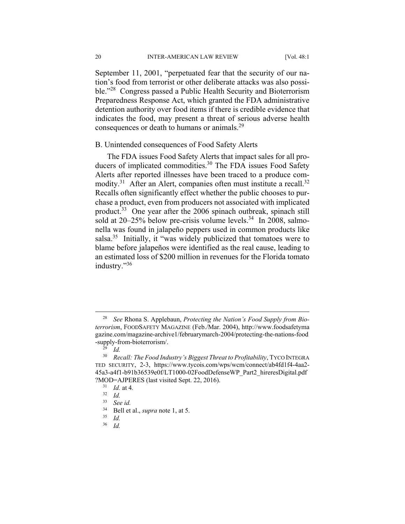September 11, 2001, "perpetuated fear that the security of our nation's food from terrorist or other deliberate attacks was also possible."28 Congress passed a Public Health Security and Bioterrorism Preparedness Response Act, which granted the FDA administrative detention authority over food items if there is credible evidence that indicates the food, may present a threat of serious adverse health consequences or death to humans or animals.<sup>29</sup>

#### B. Unintended consequences of Food Safety Alerts

The FDA issues Food Safety Alerts that impact sales for all producers of implicated commodities.<sup>30</sup> The FDA issues Food Safety Alerts after reported illnesses have been traced to a produce commodity.<sup>31</sup> After an Alert, companies often must institute a recall.<sup>32</sup> Recalls often significantly effect whether the public chooses to purchase a product, even from producers not associated with implicated product.33 One year after the 2006 spinach outbreak, spinach still sold at  $20-25\%$  below pre-crisis volume levels.<sup>34</sup> In 2008, salmonella was found in jalapeño peppers used in common products like salsa.<sup>35</sup> Initially, it "was widely publicized that tomatoes were to blame before jalapeños were identified as the real cause, leading to an estimated loss of \$200 million in revenues for the Florida tomato industry."36

36 *Id.*

 <sup>28</sup> *See* Rhona S. Applebaun, *Protecting the Nation's Food Supply from Bioterrorism*, FOODSAFETY MAGAZINE (Feb./Mar. 2004), http://www.foodsafetyma gazine.com/magazine-archive1/februarymarch-2004/protecting-the-nations-food -supply-from-bioterrorism/. 29 *Id.*

<sup>30</sup> *Recall: The Food Industry's Biggest Threat to Profitability*, TYCO INTEGRA TED SECURITY, 2-3, https://www.tycois.com/wps/wcm/connect/ab4fd1f4-4aa2- 45a3-a4f1-b91b36539e0f/LT1000-02FoodDefenseWP\_Part2\_hireresDigital.pdf ?MOD=AJPERES (last visited Sept. 22, 2016). 31 *Id.* at 4*.* 

<sup>32</sup> *Id.* 

<sup>33</sup> *See id.* 

<sup>34</sup> Bell et al., *supra* note 1, at 5. 35 *Id.*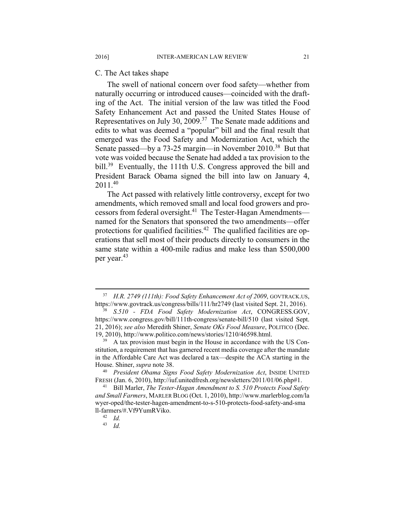C. The Act takes shape

The swell of national concern over food safety—whether from naturally occurring or introduced causes—coincided with the drafting of the Act. The initial version of the law was titled the Food Safety Enhancement Act and passed the United States House of Representatives on July 30, 2009.<sup>37</sup> The Senate made additions and edits to what was deemed a "popular" bill and the final result that emerged was the Food Safety and Modernization Act, which the Senate passed—by a 73-25 margin—in November 2010.<sup>38</sup> But that vote was voided because the Senate had added a tax provision to the bill.<sup>39</sup> Eventually, the 111th U.S. Congress approved the bill and President Barack Obama signed the bill into law on January 4, 2011.40

The Act passed with relatively little controversy, except for two amendments, which removed small and local food growers and processors from federal oversight.<sup>41</sup> The Tester-Hagan Amendments named for the Senators that sponsored the two amendments—offer protections for qualified facilities.<sup>42</sup> The qualified facilities are operations that sell most of their products directly to consumers in the same state within a 400-mile radius and make less than \$500,000 per year.43

 <sup>37</sup> *H.R. 2749 (111th): Food Safety Enhancement Act of 2009*, GOVTRACK.US, https://www.govtrack.us/congress/bills/111/hr2749 (last visited Sept. 21, 2016). 38 *S.510 - FDA Food Safety Modernization Act*, CONGRESS.GOV,

https://www.congress.gov/bill/111th-congress/senate-bill/510 (last visited Sept. 21, 2016); *see also* Meredith Shiner, *Senate OKs Food Measure*, POLITICO (Dec. 19, 2010), http://www.politico.com/news/stories/1210/46598.html. 39 A tax provision must begin in the House in accordance with the US Con-

stitution, a requirement that has garnered recent media coverage after the mandate in the Affordable Care Act was declared a tax—despite the ACA starting in the House. Shiner, *supra* note 38. 40 *President Obama Signs Food Safety Modernization Act*, INSIDE UNITED

FRESH (Jan. 6, 2010), http://iuf.unitedfresh.org/newsletters/2011/01/06.php#1. 41 Bill Marler, *The Tester-Hagan Amendment to S. 510 Protects Food Safety* 

*and Small Farmers*, MARLER BLOG (Oct. 1, 2010), http://www.marlerblog.com/la wyer-oped/the-tester-hagen-amendment-to-s-510-protects-food-safety-and-sma ll-farmers/#.Vf9YumRViko. 42 *Id.* 

<sup>43</sup> *Id.*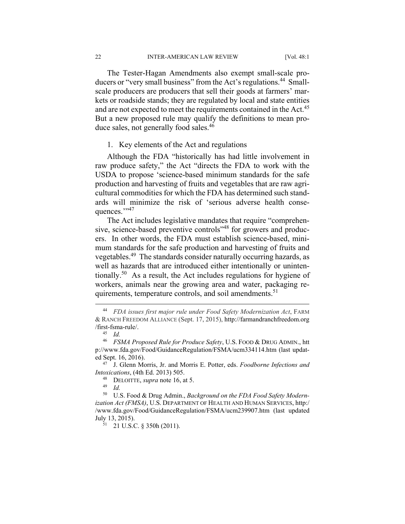The Tester-Hagan Amendments also exempt small-scale producers or "very small business" from the Act's regulations.<sup>44</sup> Smallscale producers are producers that sell their goods at farmers' markets or roadside stands; they are regulated by local and state entities and are not expected to meet the requirements contained in the Act.<sup>45</sup> But a new proposed rule may qualify the definitions to mean produce sales, not generally food sales.<sup>46</sup>

#### 1. Key elements of the Act and regulations

Although the FDA "historically has had little involvement in raw produce safety," the Act "directs the FDA to work with the USDA to propose 'science-based minimum standards for the safe production and harvesting of fruits and vegetables that are raw agricultural commodities for which the FDA has determined such standards will minimize the risk of 'serious adverse health consequences.",47

The Act includes legislative mandates that require "comprehensive, science-based preventive controls<sup>348</sup> for growers and producers. In other words, the FDA must establish science-based, minimum standards for the safe production and harvesting of fruits and vegetables.49 The standards consider naturally occurring hazards, as well as hazards that are introduced either intentionally or unintentionally.<sup>50</sup> As a result, the Act includes regulations for hygiene of workers, animals near the growing area and water, packaging requirements, temperature controls, and soil amendments.<sup>51</sup>

 <sup>44</sup> *FDA issues first major rule under Food Safety Modernization Act*, FARM & RANCH FREEDOM ALLIANCE (Sept. 17, 2015), http://farmandranchfreedom.org /first-fsma-rule/. 45 *Id.*

<sup>46</sup> *FSMA Proposed Rule for Produce Safety*, U.S. FOOD & DRUG ADMIN., htt p://www.fda.gov/Food/GuidanceRegulation/FSMA/ucm334114.htm (last updated Sept. 16, 2016). 47 J. Glenn Morris, Jr. and Morris E. Potter, eds. *Foodborne Infections and* 

*Intoxications*, (4th Ed. 2013) 505. 48 DELOITTE, *supra* note 16, at 5. 49 *Id.* 

<sup>50</sup> U.S. Food & Drug Admin., *Background on the FDA Food Safety Modernization Act (FMSA)*, U.S. DEPARTMENT OF HEALTH AND HUMAN SERVICES, http:/ /www.fda.gov/Food/GuidanceRegulation/FSMA/ucm239907.htm (last updated

 $51$  21 U.S.C. § 350h (2011).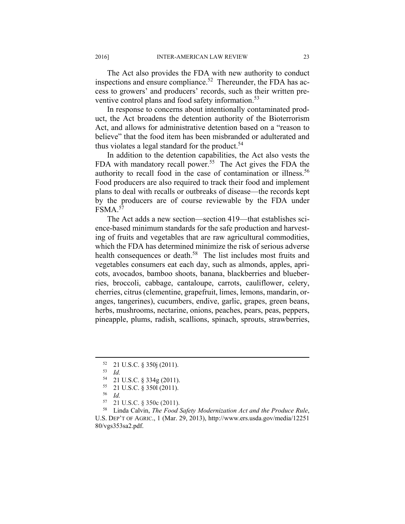The Act also provides the FDA with new authority to conduct inspections and ensure compliance.<sup>52</sup> Thereunder, the FDA has access to growers' and producers' records, such as their written preventive control plans and food safety information.<sup>53</sup>

In response to concerns about intentionally contaminated product, the Act broadens the detention authority of the Bioterrorism Act, and allows for administrative detention based on a "reason to believe" that the food item has been misbranded or adulterated and thus violates a legal standard for the product.  $54$ 

In addition to the detention capabilities, the Act also vests the FDA with mandatory recall power.<sup>55</sup> The Act gives the FDA the authority to recall food in the case of contamination or illness.<sup>56</sup> Food producers are also required to track their food and implement plans to deal with recalls or outbreaks of disease—the records kept by the producers are of course reviewable by the FDA under  $FSMA$ <sup>57</sup>

The Act adds a new section—section 419—that establishes science-based minimum standards for the safe production and harvesting of fruits and vegetables that are raw agricultural commodities, which the FDA has determined minimize the risk of serious adverse health consequences or death.<sup>58</sup> The list includes most fruits and vegetables consumers eat each day, such as almonds, apples, apricots, avocados, bamboo shoots, banana, blackberries and blueberries, broccoli, cabbage, cantaloupe, carrots, cauliflower, celery, cherries, citrus (clementine, grapefruit, limes, lemons, mandarin, oranges, tangerines), cucumbers, endive, garlic, grapes, green beans, herbs, mushrooms, nectarine, onions, peaches, pears, peas, peppers, pineapple, plums, radish, scallions, spinach, sprouts, strawberries,

- <sup>56</sup> *Id.*
- 57 21 U.S.C. § 350c (2011).

 <sup>52 21</sup> U.S.C. § 350j (2011).

<sup>53</sup> *Id.* 

 $^{54}$  21 U.S.C. § 334g (2011).<br> $^{55}$  21 U.S.C. § 3501 (2011).

<sup>55 21</sup> U.S.C. § 350l (2011).

<sup>58</sup> Linda Calvin, *The Food Safety Modernization Act and the Produce Rule*, U.S. DEP'T OF AGRIC., 1 (Mar. 29, 2013), http://www.ers.usda.gov/media/12251 80/vgs353sa2.pdf.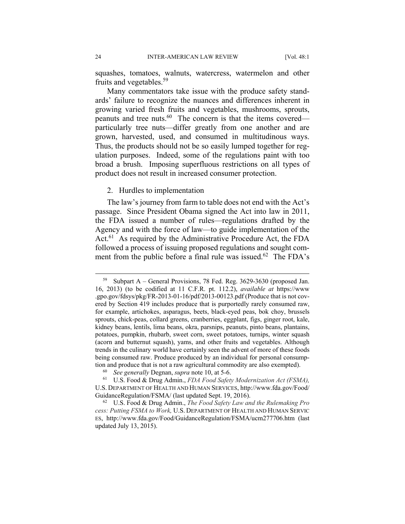squashes, tomatoes, walnuts, watercress, watermelon and other fruits and vegetables.<sup>59</sup>

Many commentators take issue with the produce safety standards' failure to recognize the nuances and differences inherent in growing varied fresh fruits and vegetables, mushrooms, sprouts, peanuts and tree nuts.60 The concern is that the items covered particularly tree nuts—differ greatly from one another and are grown, harvested, used, and consumed in multitudinous ways. Thus, the products should not be so easily lumped together for regulation purposes. Indeed, some of the regulations paint with too broad a brush. Imposing superfluous restrictions on all types of product does not result in increased consumer protection.

#### 2. Hurdles to implementation

The law's journey from farm to table does not end with the Act's passage. Since President Obama signed the Act into law in 2011, the FDA issued a number of rules—regulations drafted by the Agency and with the force of law—to guide implementation of the Act.<sup>61</sup> As required by the Administrative Procedure Act, the FDA followed a process of issuing proposed regulations and sought comment from the public before a final rule was issued.<sup>62</sup> The FDA's

 <sup>59</sup> Subpart A – General Provisions, 78 Fed. Reg. 3629-3630 (proposed Jan. 16, 2013) (to be codified at 11 C.F.R. pt. 112.2), *available at* https://www .gpo.gov/fdsys/pkg/FR-2013-01-16/pdf/2013-00123.pdf (Produce that is not covered by Section 419 includes produce that is purportedly rarely consumed raw, for example, artichokes, asparagus, beets, black-eyed peas, bok choy, brussels sprouts, chick-peas, collard greens, cranberries, eggplant, figs, ginger root, kale, kidney beans, lentils, lima beans, okra, parsnips, peanuts, pinto beans, plantains, potatoes, pumpkin, rhubarb, sweet corn, sweet potatoes, turnips, winter squash (acorn and butternut squash), yams, and other fruits and vegetables. Although trends in the culinary world have certainly seen the advent of more of these foods being consumed raw. Produce produced by an individual for personal consumption and produce that is not a raw agricultural commodity are also exempted).<br><sup>60</sup> *See generally* Degnan, *supra* note 10, at 5-6.<br><sup>61</sup> U.S. Food & Drug Admin., *FDA Food Safety Modernization Act (FSMA)*,

U.S. DEPARTMENT OF HEALTH AND HUMAN SERVICES, http://www.fda.gov/Food/ GuidanceRegulation/FSMA/ (last updated Sept. 19, 2016). 62 U.S. Food & Drug Admin., *The Food Safety Law and the Rulemaking Pro*

*cess: Putting FSMA to Work,* U.S. DEPARTMENT OF HEALTH AND HUMAN SERVIC ES, http://www.fda.gov/Food/GuidanceRegulation/FSMA/ucm277706.htm (last updated July 13, 2015).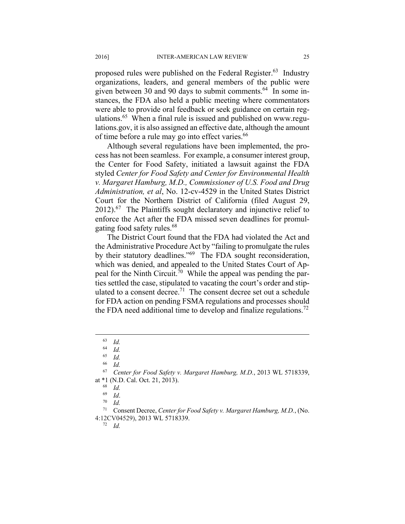proposed rules were published on the Federal Register.<sup>63</sup> Industry organizations, leaders, and general members of the public were given between 30 and 90 days to submit comments.<sup>64</sup> In some instances, the FDA also held a public meeting where commentators were able to provide oral feedback or seek guidance on certain regulations.<sup>65</sup> When a final rule is issued and published on www.regulations.gov, it is also assigned an effective date, although the amount of time before a rule may go into effect varies.<sup>66</sup>

Although several regulations have been implemented, the process has not been seamless. For example, a consumer interest group, the Center for Food Safety, initiated a lawsuit against the FDA styled *Center for Food Safety and Center for Environmental Health v. Margaret Hamburg, M.D., Commissioner of U.S. Food and Drug Administration, et al*, No. 12-cv-4529 in the United States District Court for the Northern District of California (filed August 29,  $2012$ .<sup>67</sup> The Plaintiffs sought declaratory and injunctive relief to enforce the Act after the FDA missed seven deadlines for promulgating food safety rules.<sup>68</sup>

The District Court found that the FDA had violated the Act and the Administrative Procedure Act by "failing to promulgate the rules by their statutory deadlines."<sup>69</sup> The FDA sought reconsideration, which was denied, and appealed to the United States Court of Appeal for the Ninth Circuit.<sup>70</sup> While the appeal was pending the parties settled the case, stipulated to vacating the court's order and stipulated to a consent decree.<sup>71</sup> The consent decree set out a schedule for FDA action on pending FSMA regulations and processes should the FDA need additional time to develop and finalize regulations.<sup>72</sup>

 $\begin{array}{cc} 63 & Id. \\ 64 & Id. \end{array}$ 

 $\begin{array}{cc} 64 & Id. \\ 65 & Id. \end{array}$ 

<sup>65</sup> *Id.* 

<sup>66</sup> *Id.* 

<sup>67</sup> *Center for Food Safety v. Margaret Hamburg, M.D.*, 2013 WL 5718339, at \*1 (N.D. Cal. Oct. 21, 2013). 68 *Id.* 

<sup>69</sup> *Id*. 70 *Id.* 

<sup>71</sup> Consent Decree, *Center for Food Safety v. Margaret Hamburg, M.D.*, (No. 4:12CV04529), 2013 WL 5718339. 72 *Id.*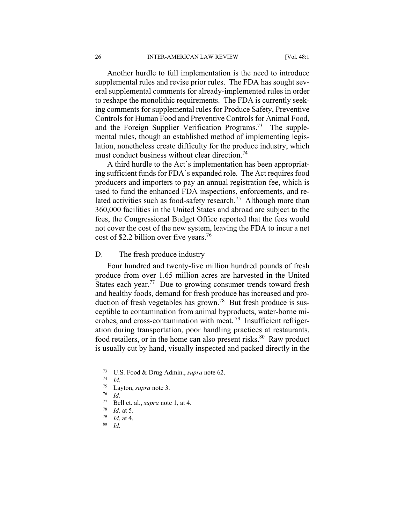Another hurdle to full implementation is the need to introduce supplemental rules and revise prior rules. The FDA has sought several supplemental comments for already-implemented rules in order to reshape the monolithic requirements. The FDA is currently seeking comments for supplemental rules for Produce Safety, Preventive Controls for Human Food and Preventive Controls for Animal Food, and the Foreign Supplier Verification Programs.<sup>73</sup> The supplemental rules, though an established method of implementing legislation, nonetheless create difficulty for the produce industry, which must conduct business without clear direction.<sup>74</sup>

A third hurdle to the Act's implementation has been appropriating sufficient funds for FDA's expanded role. The Act requires food producers and importers to pay an annual registration fee, which is used to fund the enhanced FDA inspections, enforcements, and related activities such as food-safety research.<sup>75</sup> Although more than 360,000 facilities in the United States and abroad are subject to the fees, the Congressional Budget Office reported that the fees would not cover the cost of the new system, leaving the FDA to incur a net cost of \$2.2 billion over five years.<sup>76</sup>

D. The fresh produce industry

Four hundred and twenty-five million hundred pounds of fresh produce from over 1.65 million acres are harvested in the United States each year.<sup>77</sup> Due to growing consumer trends toward fresh and healthy foods, demand for fresh produce has increased and production of fresh vegetables has grown.<sup>78</sup> But fresh produce is susceptible to contamination from animal byproducts, water-borne microbes, and cross-contamination with meat.<sup>79</sup> Insufficient refrigeration during transportation, poor handling practices at restaurants, food retailers, or in the home can also present risks. $80$  Raw product is usually cut by hand, visually inspected and packed directly in the

 <sup>73</sup> U.S. Food & Drug Admin., *supra* note 62. 74 *Id*. 75 Layton, *supra* note 3. 76 *Id.*

<sup>77</sup> Bell et. al., *supra* note 1, at 4. 78 *Id*. at 5. 79 *Id*. at 4. 80 *Id*.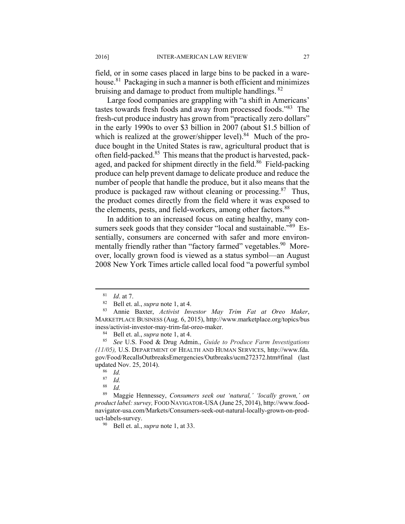field, or in some cases placed in large bins to be packed in a warehouse.<sup>81</sup> Packaging in such a manner is both efficient and minimizes bruising and damage to product from multiple handlings. 82

Large food companies are grappling with "a shift in Americans' tastes towards fresh foods and away from processed foods."83 The fresh-cut produce industry has grown from "practically zero dollars" in the early 1990s to over \$3 billion in 2007 (about \$1.5 billion of which is realized at the grower/shipper level). $84$  Much of the produce bought in the United States is raw, agricultural product that is often field-packed.<sup>85</sup> This means that the product is harvested, packaged, and packed for shipment directly in the field.<sup>86</sup> Field-packing produce can help prevent damage to delicate produce and reduce the number of people that handle the produce, but it also means that the produce is packaged raw without cleaning or processing.<sup>87</sup> Thus, the product comes directly from the field where it was exposed to the elements, pests, and field-workers, among other factors.<sup>88</sup>

In addition to an increased focus on eating healthy, many consumers seek goods that they consider "local and sustainable."<sup>89</sup> Essentially, consumers are concerned with safer and more environmentally friendly rather than "factory farmed" vegetables.<sup>90</sup> Moreover, locally grown food is viewed as a status symbol—an August 2008 New York Times article called local food "a powerful symbol

89 Maggie Hennessey, *Consumers seek out 'natural,' 'locally grown,' on product label: survey,* FOOD NAVIGATOR-USA (June 25, 2014), http://www.foodnavigator-usa.com/Markets/Consumers-seek-out-natural-locally-grown-on-product-labels-survey. 90 Bell et. al., *supra* note 1, at 33.

<sup>81</sup> *Id*. at 7. 82 Bell et. al., *supra* note 1, at 4. 83 Annie Baxter, *Activist Investor May Trim Fat at Oreo Maker*, MARKETPLACE BUSINESS (Aug. 6, 2015), http://www.marketplace.org/topics/bus iness/activist-investor-may-trim-fat-oreo-maker. 84 Bell et. al., *supra* note 1, at 4. 85 *See* U.S. Food & Drug Admin., *Guide to Produce Farm Investigations* 

*<sup>(11/05),</sup>* U.S. DEPARTMENT OF HEALTH AND HUMAN SERVICES, http://www.fda. gov/Food/RecallsOutbreaksEmergencies/Outbreaks/ucm272372.htm#final (last updated Nov. 25, 2014).

<sup>86</sup> *Id.* 

 $rac{87}{88}$  *Id.* 

<sup>88</sup> *Id.*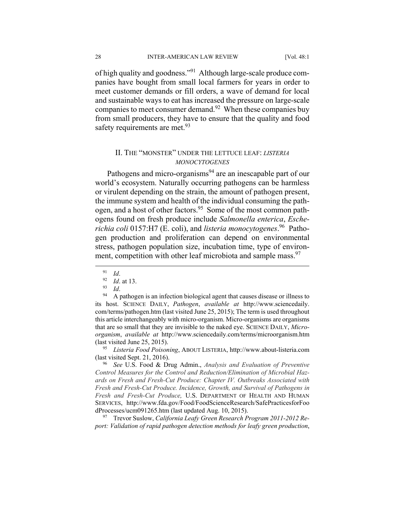28 INTER-AMERICAN LAW REVIEW [Vol. 48:1]

of high quality and goodness."91 Although large-scale produce companies have bought from small local farmers for years in order to meet customer demands or fill orders, a wave of demand for local and sustainable ways to eat has increased the pressure on large-scale companies to meet consumer demand.<sup>92</sup> When these companies buy from small producers, they have to ensure that the quality and food safety requirements are met. $93$ 

#### II. THE "MONSTER" UNDER THE LETTUCE LEAF: *LISTERIA MONOCYTOGENES*

Pathogens and micro-organisms<sup>94</sup> are an inescapable part of our world's ecosystem. Naturally occurring pathogens can be harmless or virulent depending on the strain, the amount of pathogen present, the immune system and health of the individual consuming the pathogen, and a host of other factors.<sup>95</sup> Some of the most common pathogens found on fresh produce include *Salmonella enterica*, *Escherichia coli* 0157:H7 (E. coli), and *listeria monocytogenes*. 96 Pathogen production and proliferation can depend on environmental stress, pathogen population size, incubation time, type of environment, competition with other leaf microbiota and sample mass.<sup>97</sup>

91 *Id.*<br>
92 *Id.* at 13.<br>
93 *Id.*<br>
94 A pathogen is an infection biological agent that causes disease or illness to its host. SCIENCE DAILY, *Pathogen*, *available at* http://www.sciencedaily. com/terms/pathogen.htm (last visited June 25, 2015); The term is used throughout this article interchangeably with micro-organism. Micro-organisms are organisms that are so small that they are invisible to the naked eye. SCIENCE DAILY, *Microorganism*, *available at* http://www.sciencedaily.com/terms/microorganism.htm (last visited June 25, 2015). 95 *Listeria Food Poisoning*, ABOUT LISTERIA, http://www.about-listeria.com

(last visited Sept. 21, 2016). 96 *See* U.S. Food & Drug Admin., *Analysis and Evaluation of Preventive* 

*Control Measures for the Control and Reduction/Elimination of Microbial Hazards on Fresh and Fresh-Cut Produce: Chapter IV. Outbreaks Associated with Fresh and Fresh-Cut Produce. Incidence, Growth, and Survival of Pathogens in Fresh and Fresh-Cut Produce,* U.S. DEPARTMENT OF HEALTH AND HUMAN SERVICES, http://www.fda.gov/Food/FoodScienceResearch/SafePracticesforFoo

<sup>97</sup> Trevor Suslow, *California Leafy Green Research Program 2011-2012 Report: Validation of rapid pathogen detection methods for leafy green production*,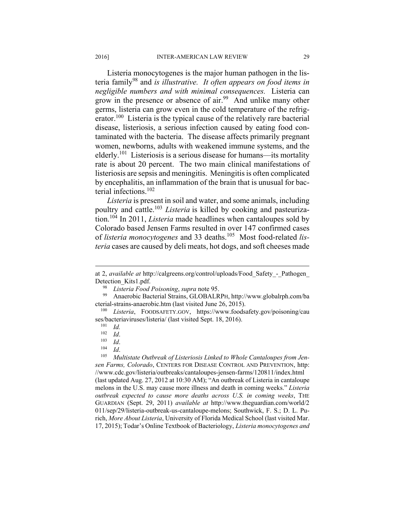Listeria monocytogenes is the major human pathogen in the listeria family98 and *is illustrative. It often appears on food items in negligible numbers and with minimal consequences.* Listeria can grow in the presence or absence of air.<sup>99</sup> And unlike many other germs, listeria can grow even in the cold temperature of the refrigerator.<sup>100</sup> Listeria is the typical cause of the relatively rare bacterial disease, listeriosis, a serious infection caused by eating food contaminated with the bacteria. The disease affects primarily pregnant women, newborns, adults with weakened immune systems, and the elderly.<sup>101</sup> Listeriosis is a serious disease for humans—its mortality rate is about 20 percent. The two main clinical manifestations of listeriosis are sepsis and meningitis. Meningitis is often complicated by encephalitis, an inflammation of the brain that is unusual for bacterial infections.102

*Listeria* is present in soil and water, and some animals, including poultry and cattle.103 *Listeria* is killed by cooking and pasteurization.104 In 2011, *Listeria* made headlines when cantaloupes sold by Colorado based Jensen Farms resulted in over 147 confirmed cases of *listeria monocytogenes* and 33 deaths.105 Most food-related *listeria* cases are caused by deli meats, hot dogs, and soft cheeses made

at 2, *available at* http://calgreens.org/control/uploads/Food\_Safety\_-\_Pathogen\_ Detection\_Kits1.pdf.<br><sup>98</sup> Listeria Food Poisoning, *supra* note 95.<br><sup>99</sup> Anaerobic Bacterial Strains, GLOBALRPH, http://www.globalrph.com/ba

cterial-strains-anaerobic.htm (last visited June 26, 2015). 100 *Listeria*, FOODSAFETY.GOV, https://www.foodsafety.gov/poisoning/cau

ses/bacteriaviruses/listeria/ (last visited Sept. 18, 2016). 101 *Id.*

<sup>102</sup> *Id*. 103 *Id*. 104 *Id*. 105 *Multistate Outbreak of Listeriosis Linked to Whole Cantaloupes from Jensen Farms, Colorado*, CENTERS FOR DISEASE CONTROL AND PREVENTION, http: //www.cdc.gov/listeria/outbreaks/cantaloupes-jensen-farms/120811/index.html (last updated Aug. 27, 2012 at 10:30 AM); "An outbreak of Listeria in cantaloupe melons in the U.S. may cause more illness and death in coming weeks." *Listeria outbreak expected to cause more deaths across U.S. in coming weeks*, THE GUARDIAN (Sept. 29, 2011) *available at* http://www.theguardian.com/world/2 011/sep/29/listeria-outbreak-us-cantaloupe-melons; Southwick, F. S.; D. L. Purich, *More About Listeria*, University of Florida Medical School (last visited Mar. 17, 2015); Todar's Online Textbook of Bacteriology, *Listeria monocytogenes and*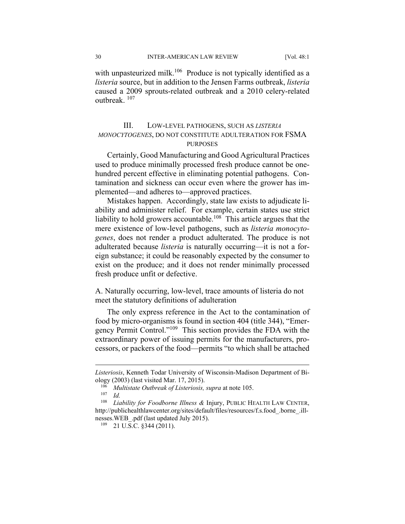30 INTER-AMERICAN LAW REVIEW [Vol. 48:1

with unpasteurized milk.<sup>106</sup> Produce is not typically identified as a *listeria* source, but in addition to the Jensen Farms outbreak, *listeria*  caused a 2009 sprouts-related outbreak and a 2010 celery-related outbreak. 107

#### III. LOW-LEVEL PATHOGENS, SUCH AS *LISTERIA MONOCYTOGENES*, DO NOT CONSTITUTE ADULTERATION FOR FSMA **PURPOSES**

Certainly, Good Manufacturing and Good Agricultural Practices used to produce minimally processed fresh produce cannot be onehundred percent effective in eliminating potential pathogens. Contamination and sickness can occur even where the grower has implemented—and adheres to—approved practices.

Mistakes happen. Accordingly, state law exists to adjudicate liability and administer relief. For example, certain states use strict liability to hold growers accountable.<sup>108</sup> This article argues that the mere existence of low-level pathogens, such as *listeria monocytogenes*, does not render a product adulterated. The produce is not adulterated because *listeria* is naturally occurring—it is not a foreign substance; it could be reasonably expected by the consumer to exist on the produce; and it does not render minimally processed fresh produce unfit or defective.

A. Naturally occurring, low-level, trace amounts of listeria do not meet the statutory definitions of adulteration

The only express reference in the Act to the contamination of food by micro-organisms is found in section 404 (title 344), "Emergency Permit Control."109 This section provides the FDA with the extraordinary power of issuing permits for the manufacturers, processors, or packers of the food—permits "to which shall be attached

*Listeriosis*, Kenneth Todar University of Wisconsin-Madison Department of Bi-

ology (2003) (last visited Mar. 17, 2015). 106 *Multistate Outbreak of Listeriosis, supra* at note 105. 107 *Id.* 

<sup>108</sup> *Liability for Foodborne Illness &* Injury, PUBLIC HEALTH LAW CENTER, http://publichealthlawcenter.org/sites/default/files/resources/f.s.food\_.borne\_.illnesses.WEB\_.pdf (last updated July 2015).<br><sup>109</sup> 21 U.S.C. §344 (2011).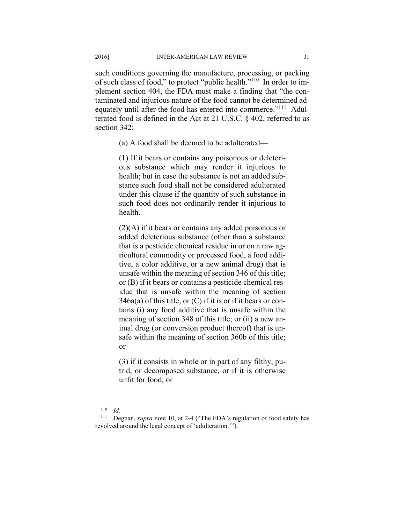such conditions governing the manufacture, processing, or packing of such class of food," to protect "public health."110 In order to implement section 404, the FDA must make a finding that "the contaminated and injurious nature of the food cannot be determined adequately until after the food has entered into commerce."<sup>111</sup> Adulterated food is defined in the Act at 21 U.S.C. § 402, referred to as section 342:

(a) A food shall be deemed to be adulterated—

(1) If it bears or contains any poisonous or deleterious substance which may render it injurious to health; but in case the substance is not an added substance such food shall not be considered adulterated under this clause if the quantity of such substance in such food does not ordinarily render it injurious to health.

(2)(A) if it bears or contains any added poisonous or added deleterious substance (other than a substance that is a pesticide chemical residue in or on a raw agricultural commodity or processed food, a food additive, a color additive, or a new animal drug) that is unsafe within the meaning of section 346 of this title; or (B) if it bears or contains a pesticide chemical residue that is unsafe within the meaning of section  $346a(a)$  of this title; or  $(C)$  if it is or if it bears or contains (i) any food additive that is unsafe within the meaning of section 348 of this title; or (ii) a new animal drug (or conversion product thereof) that is unsafe within the meaning of section 360b of this title; or

(3) if it consists in whole or in part of any filthy, putrid, or decomposed substance, or if it is otherwise unfit for food; or

 $110$  *Id.* 

<sup>111</sup> Degnan, *supra* note 10, at 2-4 ("The FDA's regulation of food safety has revolved around the legal concept of 'adulteration.'").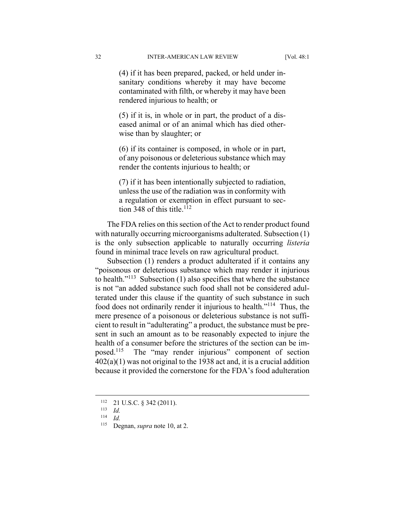(4) if it has been prepared, packed, or held under insanitary conditions whereby it may have become contaminated with filth, or whereby it may have been rendered injurious to health; or

(5) if it is, in whole or in part, the product of a diseased animal or of an animal which has died otherwise than by slaughter; or

(6) if its container is composed, in whole or in part, of any poisonous or deleterious substance which may render the contents injurious to health; or

(7) if it has been intentionally subjected to radiation, unless the use of the radiation was in conformity with a regulation or exemption in effect pursuant to section 348 of this title.<sup>112</sup>

The FDA relies on this section of the Act to render product found with naturally occurring microorganisms adulterated. Subsection (1) is the only subsection applicable to naturally occurring *listeria*  found in minimal trace levels on raw agricultural product.

Subsection (1) renders a product adulterated if it contains any "poisonous or deleterious substance which may render it injurious to health." $113$  Subsection (1) also specifies that where the substance is not "an added substance such food shall not be considered adulterated under this clause if the quantity of such substance in such food does not ordinarily render it injurious to health."114 Thus, the mere presence of a poisonous or deleterious substance is not sufficient to result in "adulterating" a product, the substance must be present in such an amount as to be reasonably expected to injure the health of a consumer before the strictures of the section can be imposed.115 The "may render injurious" component of section 402(a)(1) was not original to the 1938 act and, it is a crucial addition because it provided the cornerstone for the FDA's food adulteration

<sup>112 21</sup> U.S.C. § 342 (2011). 113 *Id.* 

<sup>114</sup> *Id.* 

<sup>115</sup> Degnan, *supra* note 10, at 2.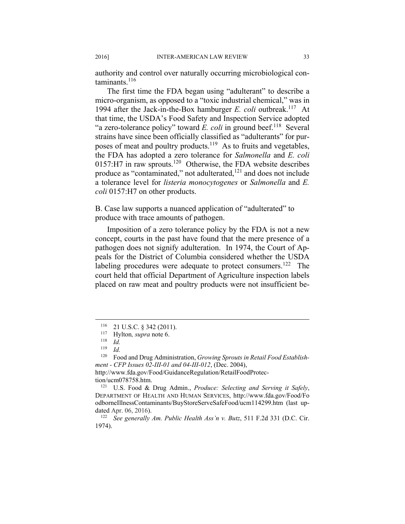authority and control over naturally occurring microbiological con $t$ aminants $116$ 

The first time the FDA began using "adulterant" to describe a micro-organism, as opposed to a "toxic industrial chemical," was in 1994 after the Jack-in-the-Box hamburger *E. coli* outbreak.<sup>117</sup> At that time, the USDA's Food Safety and Inspection Service adopted "a zero-tolerance policy" toward *E. coli* in ground beef.<sup>118</sup> Several strains have since been officially classified as "adulterants" for purposes of meat and poultry products.<sup>119</sup> As to fruits and vegetables, the FDA has adopted a zero tolerance for *Salmonella* and *E. coli*  $0157:H7$  in raw sprouts.<sup>120</sup> Otherwise, the FDA website describes produce as "contaminated," not adulterated,<sup>121</sup> and does not include a tolerance level for *listeria monocytogenes* or *Salmonella* and *E. coli* 0157:H7 on other products.

B. Case law supports a nuanced application of "adulterated" to produce with trace amounts of pathogen.

Imposition of a zero tolerance policy by the FDA is not a new concept, courts in the past have found that the mere presence of a pathogen does not signify adulteration. In 1974, the Court of Appeals for the District of Columbia considered whether the USDA labeling procedures were adequate to protect consumers.<sup>122</sup> The court held that official Department of Agriculture inspection labels placed on raw meat and poultry products were not insufficient be-

 $\overline{a}$ 

http://www.fda.gov/Food/GuidanceRegulation/RetailFoodProtection/ucm078758.htm. 121 U.S. Food & Drug Admin., *Produce: Selecting and Serving it Safely*,

<sup>116 21</sup> U.S.C. § 342 (2011). 117 Hylton*, supra* note 6. 118 *Id.*

 $\frac{119}{120}$  *Id.* 

Food and Drug Administration, *Growing Sprouts in Retail Food Establishment - CFP Issues 02-III-01 and 04-III-012*, (Dec. 2004),

DEPARTMENT OF HEALTH AND HUMAN SERVICES, http://www.fda.gov/Food/Fo odborneIllnessContaminants/BuyStoreServeSafeFood/ucm114299.htm (last updated Apr. 06, 2016).<br><sup>122</sup> See generally Am. Public Health Ass'n v. Butz, 511 F.2d 331 (D.C. Cir.

<sup>1974).</sup>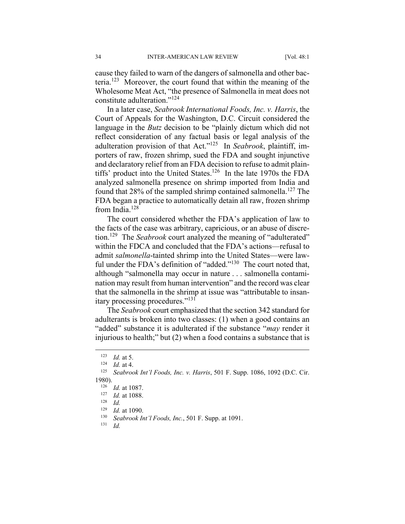cause they failed to warn of the dangers of salmonella and other bacteria.123 Moreover, the court found that within the meaning of the Wholesome Meat Act, "the presence of Salmonella in meat does not constitute adulteration."124

In a later case, *Seabrook International Foods, Inc. v. Harris*, the Court of Appeals for the Washington, D.C. Circuit considered the language in the *Butz* decision to be "plainly dictum which did not reflect consideration of any factual basis or legal analysis of the adulteration provision of that Act."125 In *Seabrook*, plaintiff, importers of raw, frozen shrimp, sued the FDA and sought injunctive and declaratory relief from an FDA decision to refuse to admit plaintiffs' product into the United States.<sup>126</sup> In the late 1970s the FDA analyzed salmonella presence on shrimp imported from India and found that 28% of the sampled shrimp contained salmonella.<sup>127</sup> The FDA began a practice to automatically detain all raw, frozen shrimp from India.<sup>128</sup>

The court considered whether the FDA's application of law to the facts of the case was arbitrary, capricious, or an abuse of discretion.129 The *Seabrook* court analyzed the meaning of "adulterated" within the FDCA and concluded that the FDA's actions—refusal to admit *salmonella*-tainted shrimp into the United States—were lawful under the FDA's definition of "added."<sup>130</sup> The court noted that, although "salmonella may occur in nature . . . salmonella contamination may result from human intervention" and the record was clear that the salmonella in the shrimp at issue was "attributable to insanitary processing procedures."131

The *Seabrook* court emphasized that the section 342 standard for adulterants is broken into two classes: (1) when a good contains an "added" substance it is adulterated if the substance "*may* render it injurious to health;" but (2) when a food contains a substance that is

<sup>123</sup> *Id.* at 5.<br>
124 *Id.* at 4.<br>
125 *Seabrook Int'l Foods, Inc. v. Harris*, 501 F. Supp. 1086, 1092 (D.C. Cir. 1980).<br><sup>126</sup> *Id.* at 1087.<br><sup>127</sup> *Id.* at 1088.<br><sup>128</sup> *Id.* at 1090.

<sup>1&</sup>lt;sup>29</sup> *Id.* at 1090.<br>
<sup>130</sup> *Seabrook Int'l Foods, Inc.*, 501 F. Supp. at 1091.<br>
<sup>131</sup> *Id*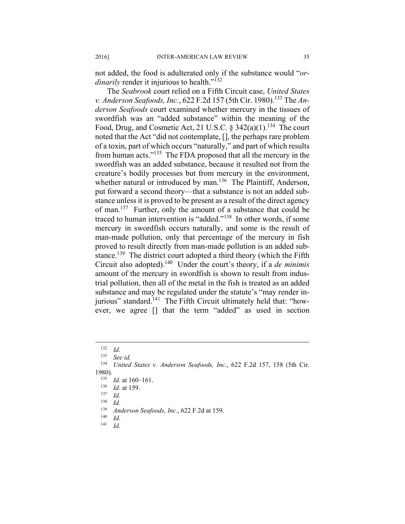not added, the food is adulterated only if the substance would "*ordinarily* render it injurious to health."<sup>132</sup>

The *Seabrook* court relied on a Fifth Circuit case, *United States v. Anderson Seafoods, Inc., 622 F.2d 157 (5th Cir. 1980).*<sup>133</sup> The *Anderson Seafoods* court examined whether mercury in the tissues of swordfish was an "added substance" within the meaning of the Food, Drug, and Cosmetic Act, 21 U.S.C.  $\S$  342(a)(1).<sup>134</sup> The court noted that the Act "did not contemplate, [], the perhaps rare problem of a toxin, part of which occurs "naturally," and part of which results from human acts."135 The FDA proposed that all the mercury in the swordfish was an added substance, because it resulted not from the creature's bodily processes but from mercury in the environment, whether natural or introduced by man.<sup>136</sup> The Plaintiff, Anderson, put forward a second theory—that a substance is not an added substance unless it is proved to be present as a result of the direct agency of man.<sup>137</sup> Further, only the amount of a substance that could be traced to human intervention is "added."138 In other words, if some mercury in swordfish occurs naturally, and some is the result of man-made pollution, only that percentage of the mercury in fish proved to result directly from man-made pollution is an added substance.<sup>139</sup> The district court adopted a third theory (which the Fifth Circuit also adopted).140 Under the court's theory, if a *de minimis*  amount of the mercury in swordfish is shown to result from industrial pollution, then all of the metal in the fish is treated as an added substance and may be regulated under the statute's "may render injurious" standard.<sup>141</sup> The Fifth Circuit ultimately held that: "however, we agree [] that the term "added" as used in section

 $\frac{132}{133}$  *Id.* 

<sup>133</sup> *See id.* 

<sup>134</sup> *United States v. Anderson Seafoods, Inc.*, 622 F.2d 157, 158 (5th Cir. 1980).<br>
<sup>135</sup> *Id.* at 160–161.<br>
<sup>136</sup> *Id.*<br>
<sup>137</sup> *Id.*<br>
<sup>138</sup> *Id.*<br>
<sup>139</sup> *Anderson Sects* 

<sup>139</sup> *Anderson Seafoods, Inc.*, 622 F.2d at 159. 140 *Id*. 141 *Id.*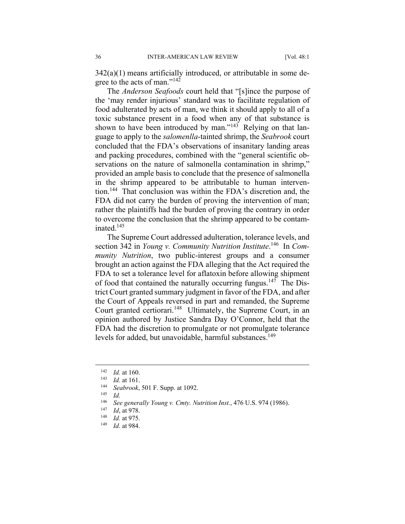$342(a)(1)$  means artificially introduced, or attributable in some degree to the acts of man."<sup>142</sup>

The *Anderson Seafoods* court held that "[s]ince the purpose of the 'may render injurious' standard was to facilitate regulation of food adulterated by acts of man, we think it should apply to all of a toxic substance present in a food when any of that substance is shown to have been introduced by man." $143$  Relying on that language to apply to the *salomenlla*-tainted shrimp, the *Seabrook* court concluded that the FDA's observations of insanitary landing areas and packing procedures, combined with the "general scientific observations on the nature of salmonella contamination in shrimp," provided an ample basis to conclude that the presence of salmonella in the shrimp appeared to be attributable to human intervention.144 That conclusion was within the FDA's discretion and, the FDA did not carry the burden of proving the intervention of man; rather the plaintiffs had the burden of proving the contrary in order to overcome the conclusion that the shrimp appeared to be contaminated.145

The Supreme Court addressed adulteration, tolerance levels, and section 342 in *Young v. Community Nutrition Institute*. 146 In *Community Nutrition*, two public-interest groups and a consumer brought an action against the FDA alleging that the Act required the FDA to set a tolerance level for aflatoxin before allowing shipment of food that contained the naturally occurring fungus.<sup>147</sup> The District Court granted summary judgment in favor of the FDA, and after the Court of Appeals reversed in part and remanded, the Supreme Court granted certiorari.<sup>148</sup> Ultimately, the Supreme Court, in an opinion authored by Justice Sandra Day O'Connor, held that the FDA had the discretion to promulgate or not promulgate tolerance levels for added, but unavoidable, harmful substances.<sup>149</sup>

1

<sup>142</sup> *Id.* at 160. 143 *Id.* at 161. 144 *Seabrook*, 501 F. Supp. at 1092. 145 *Id.*

<sup>146</sup> *See generally Young v. Cmty. Nutrition Inst.*, 476 U.S. 974 (1986).

<sup>147</sup> *Id*, at 978. 148 *Id.* at 975. 149 *Id.* at 984.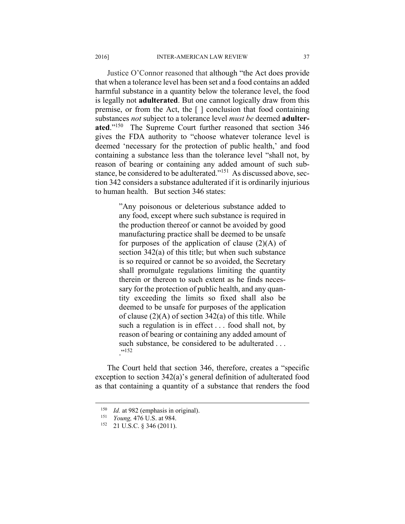Justice O'Connor reasoned that although "the Act does provide that when a tolerance level has been set and a food contains an added harmful substance in a quantity below the tolerance level, the food is legally not **adulterated**. But one cannot logically draw from this premise, or from the Act, the [ ] conclusion that food containing substances *not* subject to a tolerance level *must be* deemed **adulterated**."150 The Supreme Court further reasoned that section 346 gives the FDA authority to "choose whatever tolerance level is deemed 'necessary for the protection of public health,' and food containing a substance less than the tolerance level "shall not, by reason of bearing or containing any added amount of such substance, be considered to be adulterated."151 As discussed above, section 342 considers a substance adulterated if it is ordinarily injurious to human health. But section 346 states:

> "Any poisonous or deleterious substance added to any food, except where such substance is required in the production thereof or cannot be avoided by good manufacturing practice shall be deemed to be unsafe for purposes of the application of clause  $(2)(A)$  of section 342(a) of this title; but when such substance is so required or cannot be so avoided, the Secretary shall promulgate regulations limiting the quantity therein or thereon to such extent as he finds necessary for the protection of public health, and any quantity exceeding the limits so fixed shall also be deemed to be unsafe for purposes of the application of clause  $(2)(A)$  of section 342(a) of this title. While such a regulation is in effect . . . food shall not, by reason of bearing or containing any added amount of such substance, be considered to be adulterated ... ."<sup>152</sup>

The Court held that section 346, therefore, creates a "specific exception to section 342(a)'s general definition of adulterated food as that containing a quantity of a substance that renders the food

<sup>150</sup> *Id.* at 982 (emphasis in original).<br>
151 *Young*, 476 U.S. at 984.<br>
152 21 U.S.C. 8 346 (2011).

<sup>21</sup> U.S.C. § 346 (2011).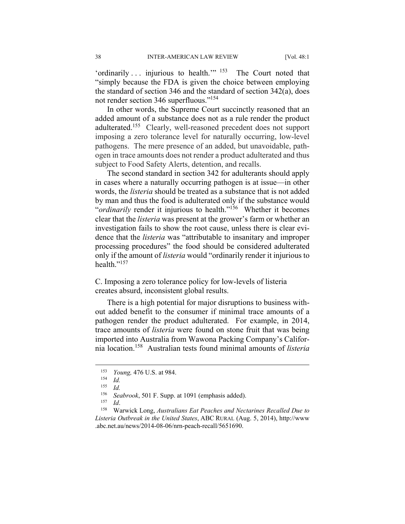'ordinarily  $\ldots$  injurious to health.'"  $153$  The Court noted that "simply because the FDA is given the choice between employing the standard of section 346 and the standard of section 342(a), does not render section 346 superfluous."154

In other words, the Supreme Court succinctly reasoned that an added amount of a substance does not as a rule render the product adulterated.155 Clearly, well-reasoned precedent does not support imposing a zero tolerance level for naturally occurring, low-level pathogens. The mere presence of an added, but unavoidable, pathogen in trace amounts does not render a product adulterated and thus subject to Food Safety Alerts, detention, and recalls.

The second standard in section 342 for adulterants should apply in cases where a naturally occurring pathogen is at issue—in other words, the *listeria* should be treated as a substance that is not added by man and thus the food is adulterated only if the substance would "*ordinarily* render it injurious to health."156 Whether it becomes clear that the *listeria* was present at the grower's farm or whether an investigation fails to show the root cause, unless there is clear evidence that the *listeria* was "attributable to insanitary and improper processing procedures" the food should be considered adulterated only if the amount of *listeria* would "ordinarily render it injurious to health<sup>"157</sup>

C. Imposing a zero tolerance policy for low-levels of listeria creates absurd, inconsistent global results.

There is a high potential for major disruptions to business without added benefit to the consumer if minimal trace amounts of a pathogen render the product adulterated. For example, in 2014, trace amounts of *listeria* were found on stone fruit that was being imported into Australia from Wawona Packing Company's California location.158 Australian tests found minimal amounts of *listeria*

<sup>153</sup> *Young,* 476 U.S. at 984.

 $\frac{154}{155}$  *Id.* 

*Id.* 

<sup>156</sup> *Seabrook*, 501 F. Supp. at 1091 (emphasis added). 157 *Id*. 158 Warwick Long, *Australians Eat Peaches and Nectarines Recalled Due to Listeria Outbreak in the United States*, ABC RURAL (Aug. 5, 2014), http://www .abc.net.au/news/2014-08-06/nrn-peach-recall/5651690.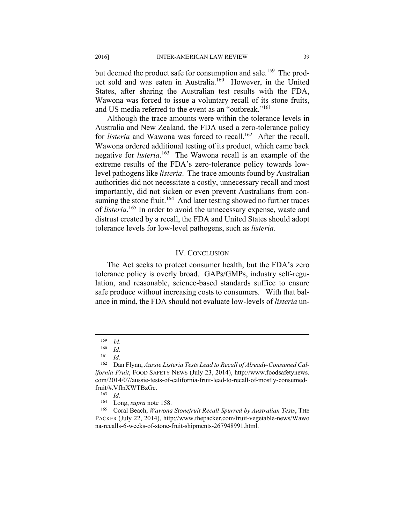but deemed the product safe for consumption and sale.<sup>159</sup> The product sold and was eaten in Australia.<sup>160</sup> However, in the United States, after sharing the Australian test results with the FDA, Wawona was forced to issue a voluntary recall of its stone fruits, and US media referred to the event as an "outbreak."<sup>161</sup>

Although the trace amounts were within the tolerance levels in Australia and New Zealand, the FDA used a zero-tolerance policy for *listeria* and Wawona was forced to recall.<sup>162</sup> After the recall, Wawona ordered additional testing of its product, which came back negative for *listeria*. 163 The Wawona recall is an example of the extreme results of the FDA's zero-tolerance policy towards lowlevel pathogens like *listeria*. The trace amounts found by Australian authorities did not necessitate a costly, unnecessary recall and most importantly, did not sicken or even prevent Australians from consuming the stone fruit.<sup>164</sup> And later testing showed no further traces of *listeria*. 165 In order to avoid the unnecessary expense, waste and distrust created by a recall, the FDA and United States should adopt tolerance levels for low-level pathogens, such as *listeria*.

#### IV. CONCLUSION

The Act seeks to protect consumer health, but the FDA's zero tolerance policy is overly broad. GAPs/GMPs, industry self-regulation, and reasonable, science-based standards suffice to ensure safe produce without increasing costs to consumers. With that balance in mind, the FDA should not evaluate low-levels of *listeria* un-

 $\frac{159}{160}$  *Id.* 

 $\frac{160}{161}$  *Id.* 

 $\frac{161}{162}$  *Id.* 

<sup>162</sup> Dan Flynn, *Aussie Listeria Tests Lead to Recall of Already-Consumed California Fruit*, FOOD SAFETY NEWS (July 23, 2014), http://www.foodsafetynews. com/2014/07/aussie-tests-of-california-fruit-lead-to-recall-of-mostly-consumedfruit/#.VflnXWTBzGc. 163 *Id.*

<sup>&</sup>lt;sup>164</sup> Long, *supra* note 158.<br><sup>165</sup> Coral Beach, *Wawona Stonefruit Recall Spurred by Australian Tests*, THE PACKER (July 22, 2014), http://www.thepacker.com/fruit-vegetable-news/Wawo na-recalls-6-weeks-of-stone-fruit-shipments-267948991.html.